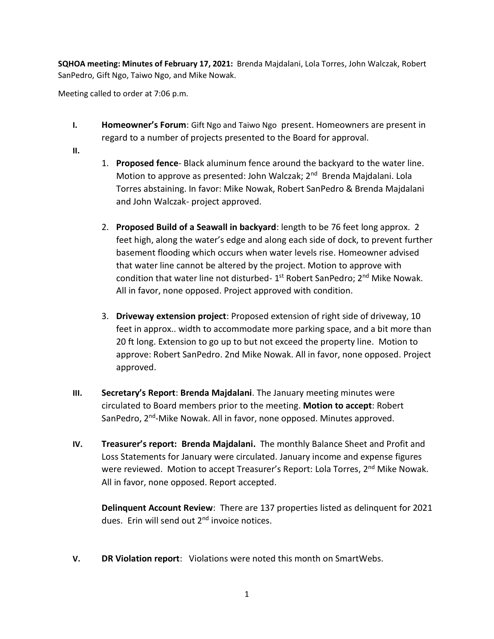**SQHOA meeting: Minutes of February 17, 2021:** Brenda Majdalani, Lola Torres, John Walczak, Robert SanPedro, Gift Ngo, Taiwo Ngo, and Mike Nowak.

Meeting called to order at 7:06 p.m.

- **I. Homeowner's Forum**: Gift Ngo and Taiwo Ngo present. Homeowners are present in regard to a number of projects presented to the Board for approval.
- **II.**
- 1. **Proposed fence** Black aluminum fence around the backyard to the water line. Motion to approve as presented: John Walczak; 2<sup>nd</sup> Brenda Majdalani. Lola Torres abstaining. In favor: Mike Nowak, Robert SanPedro & Brenda Majdalani and John Walczak- project approved.
- 2. **Proposed Build of a Seawall in backyard**: length to be 76 feet long approx. 2 feet high, along the water's edge and along each side of dock, to prevent further basement flooding which occurs when water levels rise. Homeowner advised that water line cannot be altered by the project. Motion to approve with condition that water line not disturbed- 1<sup>st</sup> Robert SanPedro; 2<sup>nd</sup> Mike Nowak. All in favor, none opposed. Project approved with condition.
- 3. **Driveway extension project**: Proposed extension of right side of driveway, 10 feet in approx.. width to accommodate more parking space, and a bit more than 20 ft long. Extension to go up to but not exceed the property line. Motion to approve: Robert SanPedro. 2nd Mike Nowak. All in favor, none opposed. Project approved.
- **III. Secretary's Report**: **Brenda Majdalani**. The January meeting minutes were circulated to Board members prior to the meeting. **Motion to accept**: Robert SanPedro, 2<sup>nd</sup>-Mike Nowak. All in favor, none opposed. Minutes approved.
- **IV. Treasurer's report: Brenda Majdalani.** The monthly Balance Sheet and Profit and Loss Statements for January were circulated. January income and expense figures were reviewed. Motion to accept Treasurer's Report: Lola Torres, 2<sup>nd</sup> Mike Nowak. All in favor, none opposed. Report accepted.

**Delinquent Account Review**: There are 137 properties listed as delinquent for 2021 dues. Erin will send out 2<sup>nd</sup> invoice notices.

**V. DR Violation report**: Violations were noted this month on SmartWebs.